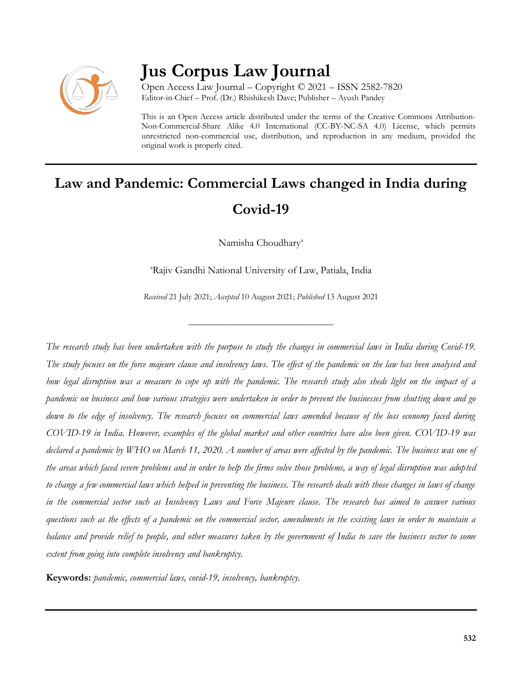

## **Jus Corpus Law Journal**

Open Access Law Journal – Copyright © 2021 – ISSN 2582-7820 Editor-in-Chief – Prof. (Dr.) Rhishikesh Dave; Publisher – Ayush Pandey

This is an Open Access article distributed under the terms of the Creative Commons Attribution-Non-Commercial-Share Alike 4.0 International (CC-BY-NC-SA 4.0) License, which permits unrestricted non-commercial use, distribution, and reproduction in any medium, provided the original work is properly cited.

# **Law and Pandemic: Commercial Laws changed in India during Covid-19**

Namisha Choudhary<sup>a</sup>

<sup>a</sup>Rajiv Gandhi National University of Law, Patiala, India

*Received* 21 July 2021; *Accepted* 10 August 2021; *Published* 13 August 2021

\_\_\_\_\_\_\_\_\_\_\_\_\_\_\_\_\_\_\_\_\_\_\_\_\_\_\_\_\_\_\_\_\_\_

*The research study has been undertaken with the purpose to study the changes in commercial laws in India during Covid-19. The study focuses on the force majeure clause and insolvency laws. The effect of the pandemic on the law has been analysed and how legal disruption was a measure to cope up with the pandemic. The research study also sheds light on the impact of a pandemic on business and how various strategies were undertaken in order to prevent the businesses from shutting down and go down to the edge of insolvency. The research focuses on commercial laws amended because of the loss economy faced during COVID-19 in India. However, examples of the global market and other countries have also been given. COVID-19 was declared a pandemic by WHO on March 11, 2020. A number of areas were affected by the pandemic. The business was one of the areas which faced severe problems and in order to help the firms solve those problems, a way of legal disruption was adopted to change a few commercial laws which helped in preventing the business. The research deals with those changes in laws of change in the commercial sector such as Insolvency Laws and Force Majeure clause. The research has aimed to answer various questions such as the effects of a pandemic on the commercial sector, amendments in the existing laws in order to maintain a balance and provide relief to people, and other measures taken by the government of India to save the business sector to some extent from going into complete insolvency and bankruptcy.*

**Keywords:** *pandemic, commercial laws, covid-19, insolvency, bankruptcy.*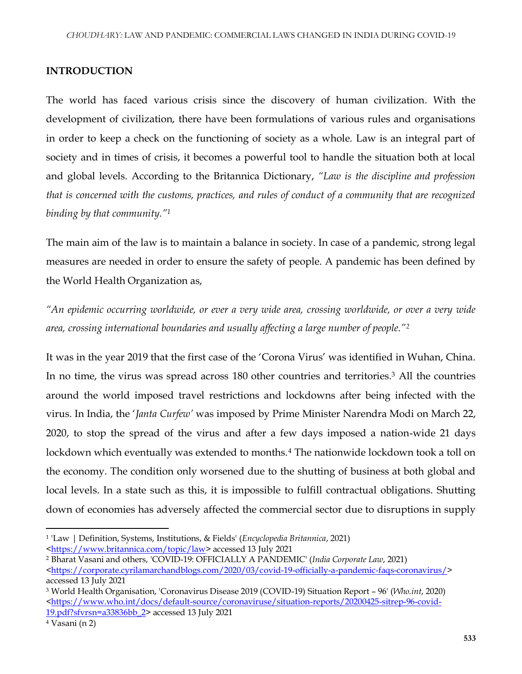## **INTRODUCTION**

The world has faced various crisis since the discovery of human civilization. With the development of civilization, there have been formulations of various rules and organisations in order to keep a check on the functioning of society as a whole. Law is an integral part of society and in times of crisis, it becomes a powerful tool to handle the situation both at local and global levels. According to the Britannica Dictionary, *"Law is the discipline and profession that is concerned with the customs, practices, and rules of conduct of a community that are recognized binding by that community."<sup>1</sup>*

The main aim of the law is to maintain a balance in society. In case of a pandemic, strong legal measures are needed in order to ensure the safety of people. A pandemic has been defined by the World Health Organization as,

*"An epidemic occurring worldwide, or ever a very wide area, crossing worldwide, or over a very wide area, crossing international boundaries and usually affecting a large number of people."<sup>2</sup>*

It was in the year 2019 that the first case of the 'Corona Virus' was identified in Wuhan, China. In no time, the virus was spread across 180 other countries and territories.<sup>3</sup> All the countries around the world imposed travel restrictions and lockdowns after being infected with the virus. In India, the '*Janta Curfew'* was imposed by Prime Minister Narendra Modi on March 22, 2020, to stop the spread of the virus and after a few days imposed a nation-wide 21 days lockdown which eventually was extended to months.<sup>4</sup> The nationwide lockdown took a toll on the economy. The condition only worsened due to the shutting of business at both global and local levels. In a state such as this, it is impossible to fulfill contractual obligations. Shutting down of economies has adversely affected the commercial sector due to disruptions in supply

 $\overline{\phantom{a}}$ 

<sup>1</sup> 'Law | Definition, Systems, Institutions, & Fields' (*Encyclopedia Britannica*, 2021)

[<sup>&</sup>lt;https://www.britannica.com/topic/law>](https://www.britannica.com/topic/law) accessed 13 July 2021

<sup>2</sup> Bharat Vasani and others, 'COVID-19: OFFICIALLY A PANDEMIC' (*India Corporate Law*, 2021)

[<sup>&</sup>lt;https://corporate.cyrilamarchandblogs.com/2020/03/covid-19-officially-a-pandemic-faqs-coronavirus/>](https://corporate.cyrilamarchandblogs.com/2020/03/covid-19-officially-a-pandemic-faqs-coronavirus/) accessed 13 July 2021

<sup>3</sup> World Health Organisation, 'Coronavirus Disease 2019 (COVID-19) Situation Report – 96' (*Who.int*, 2020) [<https://www.who.int/docs/default-source/coronaviruse/situation-reports/20200425-sitrep-96-covid-](https://www.who.int/docs/default-source/coronaviruse/situation-reports/20200425-sitrep-96-covid-19.pdf?sfvrsn=a33836bb_2)[19.pdf?sfvrsn=a33836bb\\_2>](https://www.who.int/docs/default-source/coronaviruse/situation-reports/20200425-sitrep-96-covid-19.pdf?sfvrsn=a33836bb_2) accessed 13 July 2021

<sup>4</sup> Vasani (n 2)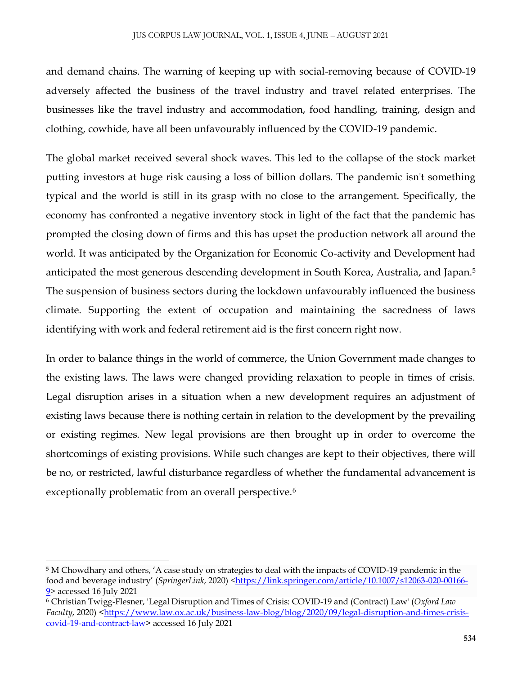and demand chains. The warning of keeping up with social-removing because of COVID-19 adversely affected the business of the travel industry and travel related enterprises. The businesses like the travel industry and accommodation, food handling, training, design and clothing, cowhide, have all been unfavourably influenced by the COVID-19 pandemic.

The global market received several shock waves. This led to the collapse of the stock market putting investors at huge risk causing a loss of billion dollars. The pandemic isn't something typical and the world is still in its grasp with no close to the arrangement. Specifically, the economy has confronted a negative inventory stock in light of the fact that the pandemic has prompted the closing down of firms and this has upset the production network all around the world. It was anticipated by the Organization for Economic Co-activity and Development had anticipated the most generous descending development in South Korea, Australia, and Japan.<sup>5</sup> The suspension of business sectors during the lockdown unfavourably influenced the business climate. Supporting the extent of occupation and maintaining the sacredness of laws identifying with work and federal retirement aid is the first concern right now.

In order to balance things in the world of commerce, the Union Government made changes to the existing laws. The laws were changed providing relaxation to people in times of crisis. Legal disruption arises in a situation when a new development requires an adjustment of existing laws because there is nothing certain in relation to the development by the prevailing or existing regimes. New legal provisions are then brought up in order to overcome the shortcomings of existing provisions. While such changes are kept to their objectives, there will be no, or restricted, lawful disturbance regardless of whether the fundamental advancement is exceptionally problematic from an overall perspective.<sup>6</sup>

 $\overline{a}$ 

<sup>5</sup> M Chowdhary and others, 'A case study on strategies to deal with the impacts of COVID-19 pandemic in the food and beverage industry' (*SpringerLink*, 2020) [<https://link.springer.com/article/10.1007/s12063-020-00166-](https://link.springer.com/article/10.1007/s12063-020-00166-9) [9>](https://link.springer.com/article/10.1007/s12063-020-00166-9) accessed 16 July 2021

<sup>6</sup> Christian Twigg-Flesner, 'Legal Disruption and Times of Crisis: COVID-19 and (Contract) Law' (*Oxford Law Faculty*, 2020) [<https://www.law.ox.ac.uk/business-law-blog/blog/2020/09/legal-disruption-and-times-crisis](https://www.law.ox.ac.uk/business-law-blog/blog/2020/09/legal-disruption-and-times-crisis-covid-19-and-contract-law)[covid-19-and-contract-law>](https://www.law.ox.ac.uk/business-law-blog/blog/2020/09/legal-disruption-and-times-crisis-covid-19-and-contract-law) accessed 16 July 2021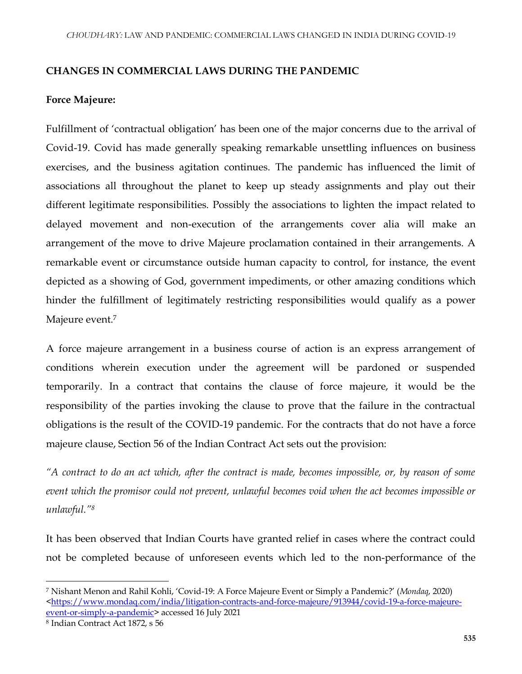## **CHANGES IN COMMERCIAL LAWS DURING THE PANDEMIC**

## **Force Majeure:**

Fulfillment of 'contractual obligation' has been one of the major concerns due to the arrival of Covid-19. Covid has made generally speaking remarkable unsettling influences on business exercises, and the business agitation continues. The pandemic has influenced the limit of associations all throughout the planet to keep up steady assignments and play out their different legitimate responsibilities. Possibly the associations to lighten the impact related to delayed movement and non-execution of the arrangements cover alia will make an arrangement of the move to drive Majeure proclamation contained in their arrangements. A remarkable event or circumstance outside human capacity to control, for instance, the event depicted as a showing of God, government impediments, or other amazing conditions which hinder the fulfillment of legitimately restricting responsibilities would qualify as a power Majeure event.<sup>7</sup>

A force majeure arrangement in a business course of action is an express arrangement of conditions wherein execution under the agreement will be pardoned or suspended temporarily. In a contract that contains the clause of force majeure, it would be the responsibility of the parties invoking the clause to prove that the failure in the contractual obligations is the result of the COVID-19 pandemic. For the contracts that do not have a force majeure clause, Section 56 of the Indian Contract Act sets out the provision:

*"A contract to do an act which, after the contract is made, becomes impossible, or, by reason of some event which the promisor could not prevent, unlawful becomes void when the act becomes impossible or unlawful."<sup>8</sup>*

It has been observed that Indian Courts have granted relief in cases where the contract could not be completed because of unforeseen events which led to the non-performance of the

 $\overline{\phantom{a}}$ 

<sup>7</sup> Nishant Menon and Rahil Kohli, 'Covid-19: A Force Majeure Event or Simply a Pandemic?' (*Mondaq*, 2020) [<https://www.mondaq.com/india/litigation-contracts-and-force-majeure/913944/covid-19-a-force-majeure](https://www.mondaq.com/india/litigation-contracts-and-force-majeure/913944/covid-19-a-force-majeure-event-or-simply-a-pandemic)[event-or-simply-a-pandemic>](https://www.mondaq.com/india/litigation-contracts-and-force-majeure/913944/covid-19-a-force-majeure-event-or-simply-a-pandemic) accessed 16 July 2021

<sup>8</sup> Indian Contract Act 1872, s 56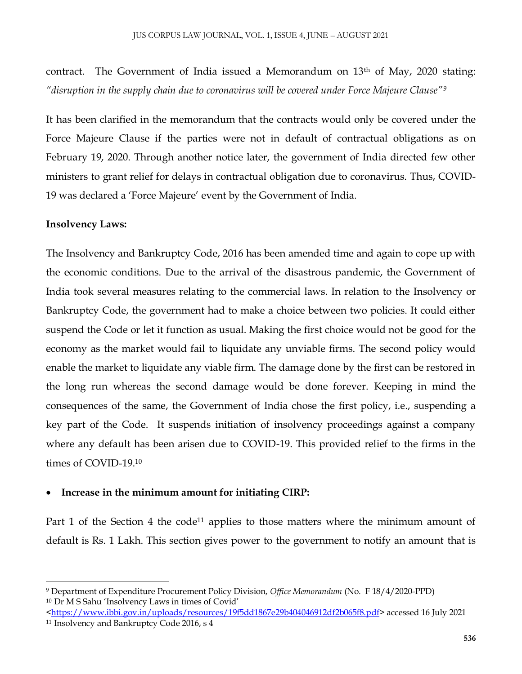contract. The Government of India issued a Memorandum on 13<sup>th</sup> of May, 2020 stating: *"disruption in the supply chain due to coronavirus will be covered under Force Majeure Clause"<sup>9</sup>*

It has been clarified in the memorandum that the contracts would only be covered under the Force Majeure Clause if the parties were not in default of contractual obligations as on February 19, 2020. Through another notice later, the government of India directed few other ministers to grant relief for delays in contractual obligation due to coronavirus. Thus, COVID-19 was declared a 'Force Majeure' event by the Government of India.

### **Insolvency Laws:**

 $\overline{\phantom{a}}$ 

The Insolvency and Bankruptcy Code, 2016 has been amended time and again to cope up with the economic conditions. Due to the arrival of the disastrous pandemic, the Government of India took several measures relating to the commercial laws. In relation to the Insolvency or Bankruptcy Code, the government had to make a choice between two policies. It could either suspend the Code or let it function as usual. Making the first choice would not be good for the economy as the market would fail to liquidate any unviable firms. The second policy would enable the market to liquidate any viable firm. The damage done by the first can be restored in the long run whereas the second damage would be done forever. Keeping in mind the consequences of the same, the Government of India chose the first policy, i.e., suspending a key part of the Code. It suspends initiation of insolvency proceedings against a company where any default has been arisen due to COVID-19. This provided relief to the firms in the times of COVID-19.<sup>10</sup>

#### **Increase in the minimum amount for initiating CIRP:**

Part 1 of the Section 4 the code<sup>11</sup> applies to those matters where the minimum amount of default is Rs. 1 Lakh. This section gives power to the government to notify an amount that is

<sup>9</sup> Department of Expenditure Procurement Policy Division, *Office Memorandum* (No. F 18/4/2020-PPD) <sup>10</sup> Dr M S Sahu 'Insolvency Laws in times of Covid'

[<sup>&</sup>lt;https://www.ibbi.gov.in/uploads/resources/19f5dd1867e29b404046912df2b065f8.pdf>](https://www.ibbi.gov.in/uploads/resources/19f5dd1867e29b404046912df2b065f8.pdf) accessed 16 July 2021 <sup>11</sup> Insolvency and Bankruptcy Code 2016, s 4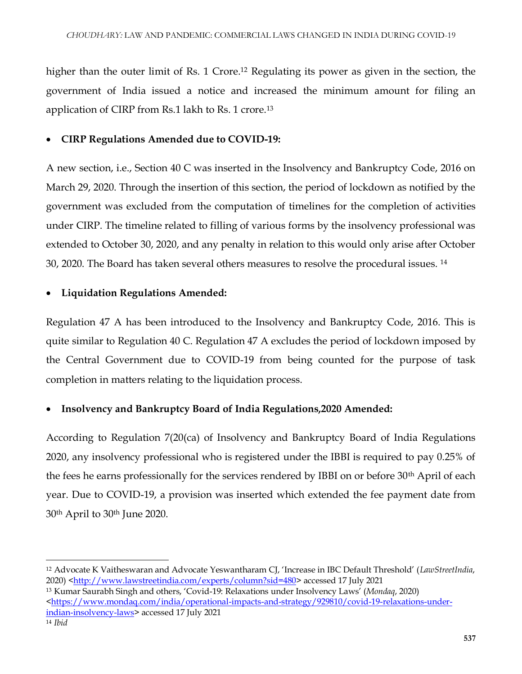higher than the outer limit of Rs. 1 Crore.<sup>12</sup> Regulating its power as given in the section, the government of India issued a notice and increased the minimum amount for filing an application of CIRP from Rs.1 lakh to Rs. 1 crore.<sup>13</sup>

## **CIRP Regulations Amended due to COVID-19:**

A new section, i.e., Section 40 C was inserted in the Insolvency and Bankruptcy Code, 2016 on March 29, 2020. Through the insertion of this section, the period of lockdown as notified by the government was excluded from the computation of timelines for the completion of activities under CIRP. The timeline related to filling of various forms by the insolvency professional was extended to October 30, 2020, and any penalty in relation to this would only arise after October 30, 2020. The Board has taken several others measures to resolve the procedural issues. <sup>14</sup>

## **Liquidation Regulations Amended:**

Regulation 47 A has been introduced to the Insolvency and Bankruptcy Code, 2016. This is quite similar to Regulation 40 C. Regulation 47 A excludes the period of lockdown imposed by the Central Government due to COVID-19 from being counted for the purpose of task completion in matters relating to the liquidation process.

## **Insolvency and Bankruptcy Board of India Regulations,2020 Amended:**

According to Regulation 7(20(ca) of Insolvency and Bankruptcy Board of India Regulations 2020, any insolvency professional who is registered under the IBBI is required to pay 0.25% of the fees he earns professionally for the services rendered by IBBI on or before 30th April of each year. Due to COVID-19, a provision was inserted which extended the fee payment date from 30th April to 30th June 2020.

 $\overline{a}$ 

<sup>12</sup> Advocate K Vaitheswaran and Advocate Yeswantharam CJ, 'Increase in IBC Default Threshold' (*LawStreetIndia*, 2020) [<http://www.lawstreetindia.com/experts/column?sid=480>](http://www.lawstreetindia.com/experts/column?sid=480) accessed 17 July 2021

<sup>13</sup> Kumar Saurabh Singh and others, 'Covid-19: Relaxations under Insolvency Laws' (*Mondaq*, 2020) [<https://www.mondaq.com/india/operational-impacts-and-strategy/929810/covid-19-relaxations-under](https://www.mondaq.com/india/operational-impacts-and-strategy/929810/covid-19-relaxations-under-indian-insolvency-laws)[indian-insolvency-laws>](https://www.mondaq.com/india/operational-impacts-and-strategy/929810/covid-19-relaxations-under-indian-insolvency-laws) accessed 17 July 2021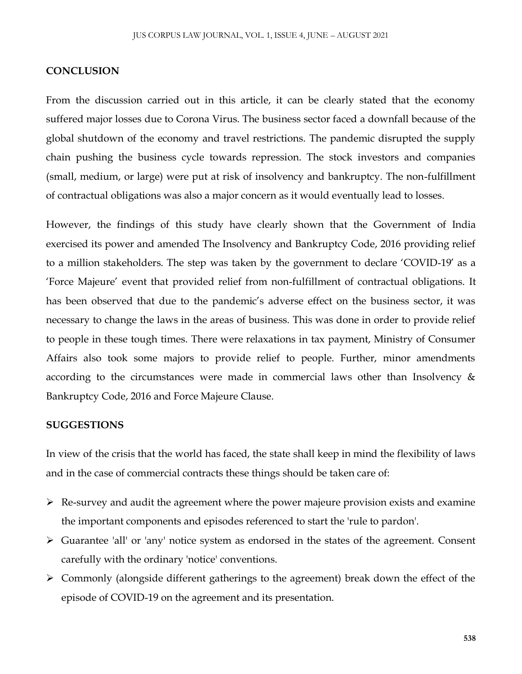#### **CONCLUSION**

From the discussion carried out in this article, it can be clearly stated that the economy suffered major losses due to Corona Virus. The business sector faced a downfall because of the global shutdown of the economy and travel restrictions. The pandemic disrupted the supply chain pushing the business cycle towards repression. The stock investors and companies (small, medium, or large) were put at risk of insolvency and bankruptcy. The non-fulfillment of contractual obligations was also a major concern as it would eventually lead to losses.

However, the findings of this study have clearly shown that the Government of India exercised its power and amended The Insolvency and Bankruptcy Code, 2016 providing relief to a million stakeholders. The step was taken by the government to declare 'COVID-19' as a 'Force Majeure' event that provided relief from non-fulfillment of contractual obligations. It has been observed that due to the pandemic's adverse effect on the business sector, it was necessary to change the laws in the areas of business. This was done in order to provide relief to people in these tough times. There were relaxations in tax payment, Ministry of Consumer Affairs also took some majors to provide relief to people. Further, minor amendments according to the circumstances were made in commercial laws other than Insolvency & Bankruptcy Code, 2016 and Force Majeure Clause.

#### **SUGGESTIONS**

In view of the crisis that the world has faced, the state shall keep in mind the flexibility of laws and in the case of commercial contracts these things should be taken care of:

- $\triangleright$  Re-survey and audit the agreement where the power majeure provision exists and examine the important components and episodes referenced to start the 'rule to pardon'.
- Guarantee 'all' or 'any' notice system as endorsed in the states of the agreement. Consent carefully with the ordinary 'notice' conventions.
- $\triangleright$  Commonly (alongside different gatherings to the agreement) break down the effect of the episode of COVID-19 on the agreement and its presentation.